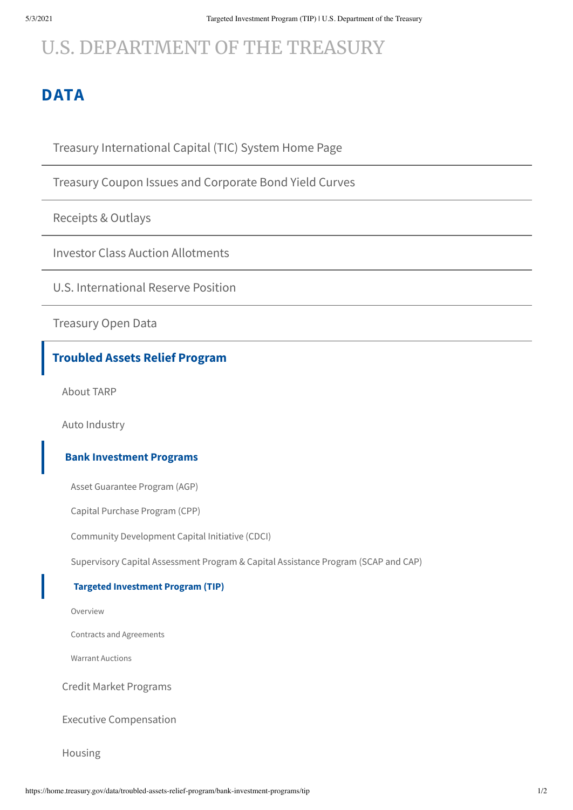# [U.S. DEPARTMENT](https://home.treasury.gov/) OF THE TREASURY

# **[DATA](https://home.treasury.gov/data/troubled-assets-relief-program/bank-investment-programs/tip)**

Treasury [International](https://home.treasury.gov/data/treasury-international-capital-tic-system) Capital (TIC) System Home Page

Treasury Coupon Issues and [Corporate](https://home.treasury.gov/data/treasury-coupon-issues-and-corporate-bond-yield-curves) Bond Yield Curves

[Receipts](https://home.treasury.gov/data/receipts-outlays) & Outlays

Investor Class Auction [Allotments](https://home.treasury.gov/data/investor-class-auction-allotments)

U.S. [International](https://home.treasury.gov/data/us-international-reserve-position) Reserve Position

[Treasury](https://home.treasury.gov/data/treasury-open-data) Open Data

### **[Troubled](https://home.treasury.gov/data/troubled-assets-relief-program) Assets Relief Program**

[About](https://home.treasury.gov/data/troubled-assets-relief-program/about-tarp) TARP

Auto [Industry](https://home.treasury.gov/data/troubled-assets-relief-program/automotive-programs)

#### **Bank [Investment](https://home.treasury.gov/data/troubled-assets-relief-program/bank-investment-programs) Programs**

Asset [Guarantee](https://home.treasury.gov/data/troubled-assets-relief-program/bank-investment-programs/agp) Program (AGP)

Capital [Purchase](https://home.treasury.gov/data/troubled-assets-relief-program/bank-investment-programs/cap) Program (CPP)

Community [Development](https://home.treasury.gov/data/troubled-assets-relief-program/bank-investment-programs/cdci) Capital Initiative (CDCI)

[Supervisory](https://home.treasury.gov/data/troubled-assets-relief-program/bank-investment-programs/scap-and-cap) Capital Assessment Program & Capital Assistance Program (SCAP and CAP)

#### **Targeted [Investment](https://home.treasury.gov/data/troubled-assets-relief-program/bank-investment-programs/tip) Program (TIP)**

[Overview](https://home.treasury.gov/data/troubled-assets-relief-program/bank-investment-programs/tip/overview)

Contracts and [Agreements](https://home.treasury.gov/data/troubled-assets-relief-program/bank-investment-programs/tip/contracts-and-agreements)

Warrant [Auctions](https://home.treasury.gov/data/troubled-assets-relief-program/bank-investment-programs/tip/warrant-auctions)

Credit Market [Programs](https://home.treasury.gov/data/troubled-assets-relief-program/credit-market-programs)

Executive [Compensation](https://home.treasury.gov/data/troubled-assets-relief-program/executive-comp)

[Housing](https://home.treasury.gov/data/troubled-assets-relief-program/housing)